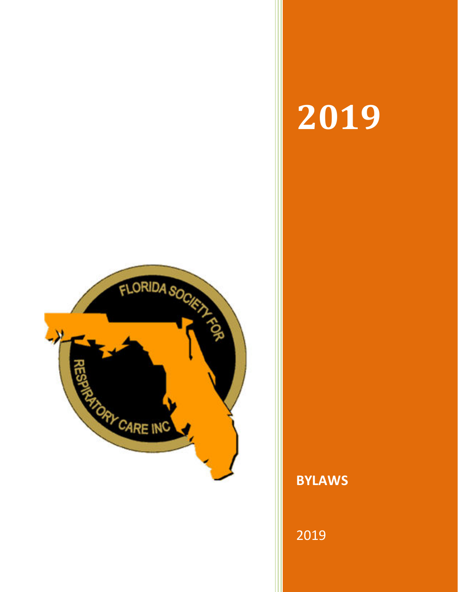

# 

**BYLAWS**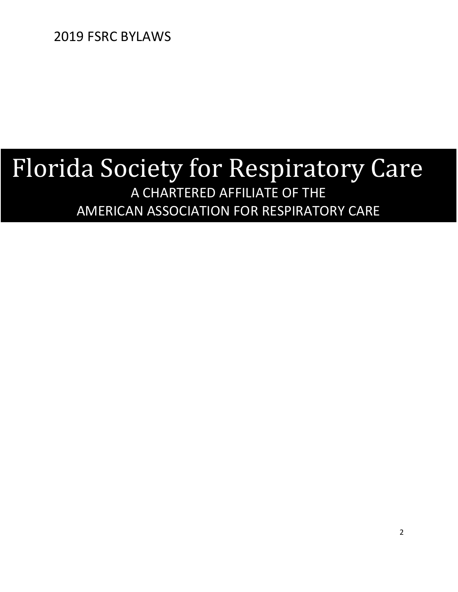## Florida Society for Respiratory Care A CHARTERED AFFILIATE OF THE AMERICAN ASSOCIATION FOR RESPIRATORY CARE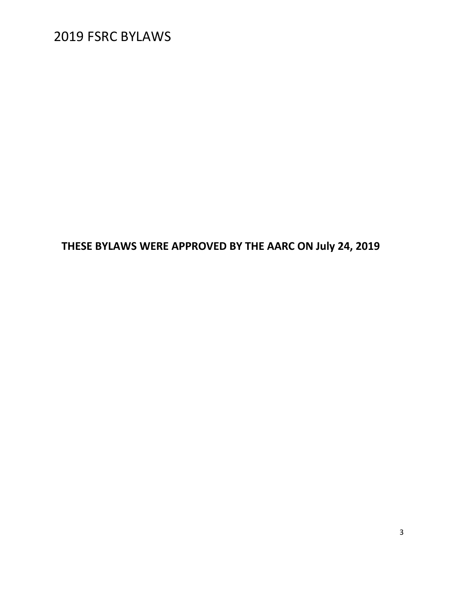**THESE BYLAWS WERE APPROVED BY THE AARC ON July 24, 2019**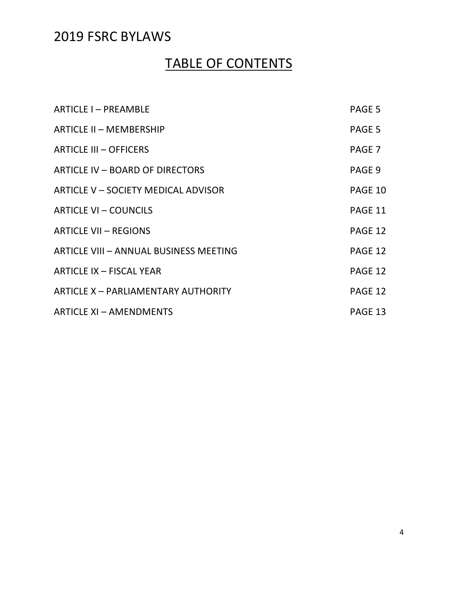### TABLE OF CONTENTS

| <b>ARTICLE I-PREAMBLE</b>                     | PAGE 5  |
|-----------------------------------------------|---------|
| <b>ARTICLE II - MEMBERSHIP</b>                | PAGE 5  |
| <b>ARTICLE III - OFFICERS</b>                 | PAGE 7  |
| ARTICLE IV - BOARD OF DIRECTORS               | PAGE 9  |
| ARTICLE V - SOCIETY MEDICAL ADVISOR           | PAGE 10 |
| <b>ARTICLE VI - COUNCILS</b>                  | PAGE 11 |
| <b>ARTICLE VII - REGIONS</b>                  | PAGE 12 |
| <b>ARTICLE VIII - ANNUAL BUSINESS MEETING</b> | PAGE 12 |
| <b>ARTICLE IX - FISCAL YEAR</b>               | PAGE 12 |
| <b>ARTICLE X - PARLIAMENTARY AUTHORITY</b>    | PAGE 12 |
| <b>ARTICLE XI - AMENDMENTS</b>                | PAGE 13 |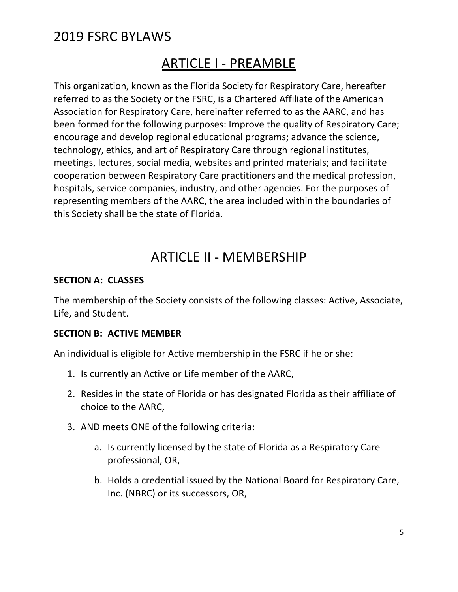### ARTICLE I - PREAMBLE

This organization, known as the Florida Society for Respiratory Care, hereafter referred to as the Society or the FSRC, is a Chartered Affiliate of the American Association for Respiratory Care, hereinafter referred to as the AARC, and has been formed for the following purposes: Improve the quality of Respiratory Care; encourage and develop regional educational programs; advance the science, technology, ethics, and art of Respiratory Care through regional institutes, meetings, lectures, social media, websites and printed materials; and facilitate cooperation between Respiratory Care practitioners and the medical profession, hospitals, service companies, industry, and other agencies. For the purposes of representing members of the AARC, the area included within the boundaries of this Society shall be the state of Florida.

### ARTICLE II - MEMBERSHIP

#### **SECTION A: CLASSES**

The membership of the Society consists of the following classes: Active, Associate, Life, and Student.

#### **SECTION B: ACTIVE MEMBER**

An individual is eligible for Active membership in the FSRC if he or she:

- 1. Is currently an Active or Life member of the AARC,
- 2. Resides in the state of Florida or has designated Florida as their affiliate of choice to the AARC,
- 3. AND meets ONE of the following criteria:
	- a. Is currently licensed by the state of Florida as a Respiratory Care professional, OR,
	- b. Holds a credential issued by the National Board for Respiratory Care, Inc. (NBRC) or its successors, OR,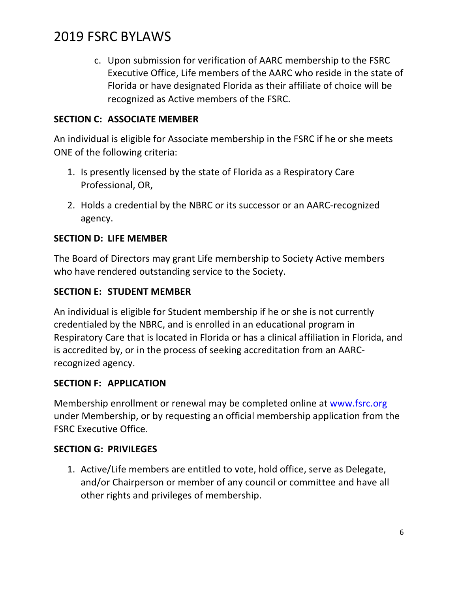c. Upon submission for verification of AARC membership to the FSRC Executive Office, Life members of the AARC who reside in the state of Florida or have designated Florida as their affiliate of choice will be recognized as Active members of the FSRC.

#### **SECTION C: ASSOCIATE MEMBER**

An individual is eligible for Associate membership in the FSRC if he or she meets ONE of the following criteria:

- 1. Is presently licensed by the state of Florida as a Respiratory Care Professional, OR,
- 2. Holds a credential by the NBRC or its successor or an AARC-recognized agency.

#### **SECTION D: LIFE MEMBER**

The Board of Directors may grant Life membership to Society Active members who have rendered outstanding service to the Society.

#### **SECTION E: STUDENT MEMBER**

An individual is eligible for Student membership if he or she is not currently credentialed by the NBRC, and is enrolled in an educational program in Respiratory Care that is located in Florida or has a clinical affiliation in Florida, and is accredited by, or in the process of seeking accreditation from an AARCrecognized agency.

#### **SECTION F: APPLICATION**

Membership enrollment or renewal may be completed online at www.fsrc.org under Membership, or by requesting an official membership application from the FSRC Executive Office.

#### **SECTION G: PRIVILEGES**

1. Active/Life members are entitled to vote, hold office, serve as Delegate, and/or Chairperson or member of any council or committee and have all other rights and privileges of membership.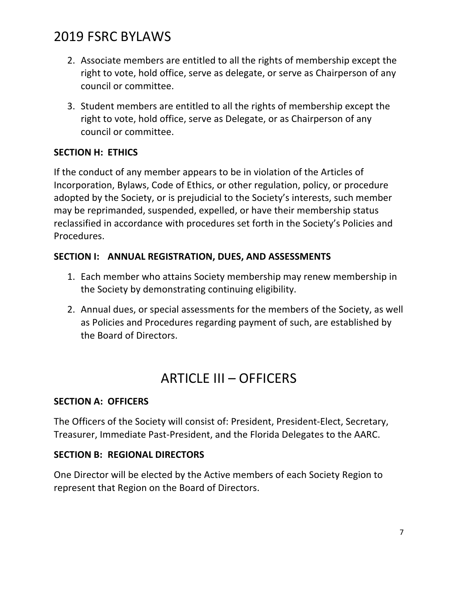- 2. Associate members are entitled to all the rights of membership except the right to vote, hold office, serve as delegate, or serve as Chairperson of any council or committee.
- 3. Student members are entitled to all the rights of membership except the right to vote, hold office, serve as Delegate, or as Chairperson of any council or committee.

#### **SECTION H: ETHICS**

If the conduct of any member appears to be in violation of the Articles of Incorporation, Bylaws, Code of Ethics, or other regulation, policy, or procedure adopted by the Society, or is prejudicial to the Society's interests, such member may be reprimanded, suspended, expelled, or have their membership status reclassified in accordance with procedures set forth in the Society's Policies and Procedures.

#### **SECTION I: ANNUAL REGISTRATION, DUES, AND ASSESSMENTS**

- 1. Each member who attains Society membership may renew membership in the Society by demonstrating continuing eligibility.
- 2. Annual dues, or special assessments for the members of the Society, as well as Policies and Procedures regarding payment of such, are established by the Board of Directors.

### ARTICLE III – OFFICERS

#### **SECTION A: OFFICERS**

The Officers of the Society will consist of: President, President-Elect, Secretary, Treasurer, Immediate Past-President, and the Florida Delegates to the AARC.

#### **SECTION B: REGIONAL DIRECTORS**

One Director will be elected by the Active members of each Society Region to represent that Region on the Board of Directors.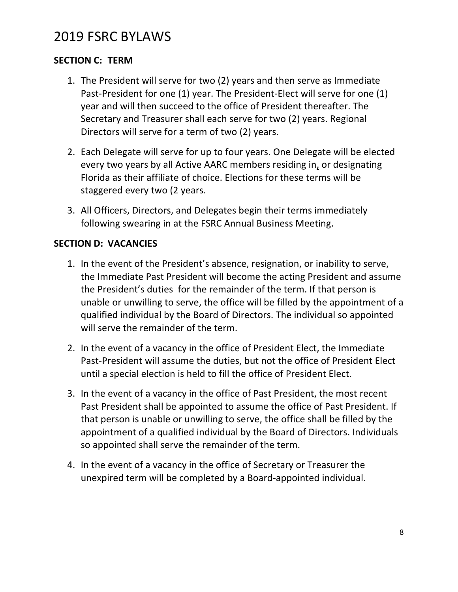#### **SECTION C: TERM**

- 1. The President will serve for two (2) years and then serve as Immediate Past-President for one (1) year. The President-Elect will serve for one (1) year and will then succeed to the office of President thereafter. The Secretary and Treasurer shall each serve for two (2) years. Regional Directors will serve for a term of two (2) years.
- 2. Each Delegate will serve for up to four years. One Delegate will be elected every two years by all Active AARC members residing in, or designating Florida as their affiliate of choice. Elections for these terms will be staggered every two (2 years.
- 3. All Officers, Directors, and Delegates begin their terms immediately following swearing in at the FSRC Annual Business Meeting.

#### **SECTION D: VACANCIES**

- 1. In the event of the President's absence, resignation, or inability to serve, the Immediate Past President will become the acting President and assume the President's duties for the remainder of the term. If that person is unable or unwilling to serve, the office will be filled by the appointment of a qualified individual by the Board of Directors. The individual so appointed will serve the remainder of the term.
- 2. In the event of a vacancy in the office of President Elect, the Immediate Past-President will assume the duties, but not the office of President Elect until a special election is held to fill the office of President Elect.
- 3. In the event of a vacancy in the office of Past President, the most recent Past President shall be appointed to assume the office of Past President. If that person is unable or unwilling to serve, the office shall be filled by the appointment of a qualified individual by the Board of Directors. Individuals so appointed shall serve the remainder of the term.
- 4. In the event of a vacancy in the office of Secretary or Treasurer the unexpired term will be completed by a Board-appointed individual.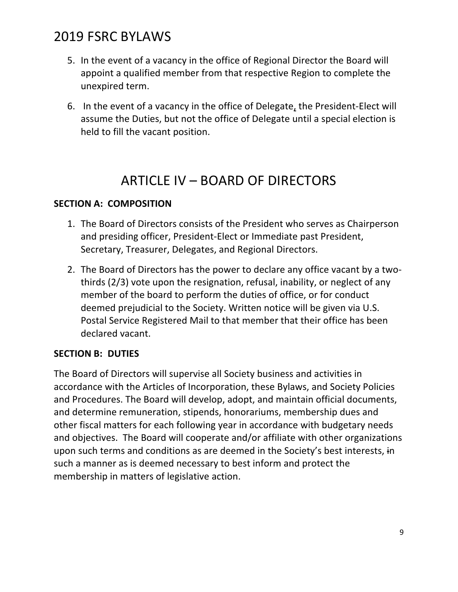- 5. In the event of a vacancy in the office of Regional Director the Board will appoint a qualified member from that respective Region to complete the unexpired term.
- 6. In the event of a vacancy in the office of Delegate, the President-Elect will assume the Duties, but not the office of Delegate until a special election is held to fill the vacant position.

### ARTICLE IV – BOARD OF DIRECTORS

#### **SECTION A: COMPOSITION**

- 1. The Board of Directors consists of the President who serves as Chairperson and presiding officer, President-Elect or Immediate past President, Secretary, Treasurer, Delegates, and Regional Directors.
- 2. The Board of Directors has the power to declare any office vacant by a twothirds (2/3) vote upon the resignation, refusal, inability, or neglect of any member of the board to perform the duties of office, or for conduct deemed prejudicial to the Society. Written notice will be given via U.S. Postal Service Registered Mail to that member that their office has been declared vacant.

#### **SECTION B: DUTIES**

The Board of Directors will supervise all Society business and activities in accordance with the Articles of Incorporation, these Bylaws, and Society Policies and Procedures. The Board will develop, adopt, and maintain official documents, and determine remuneration, stipends, honorariums, membership dues and other fiscal matters for each following year in accordance with budgetary needs and objectives. The Board will cooperate and/or affiliate with other organizations upon such terms and conditions as are deemed in the Society's best interests, in such a manner as is deemed necessary to best inform and protect the membership in matters of legislative action.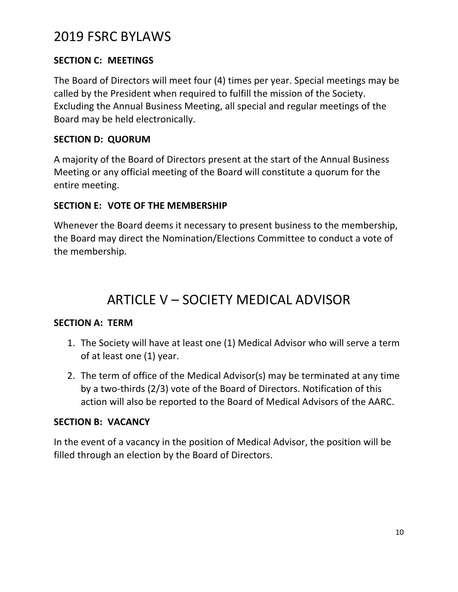#### **SECTION C: MEETINGS**

The Board of Directors will meet four (4) times per year. Special meetings may be called by the President when required to fulfill the mission of the Society. Excluding the Annual Business Meeting, all special and regular meetings of the Board may be held electronically.

#### **SECTION D: QUORUM**

A majority of the Board of Directors present at the start of the Annual Business Meeting or any official meeting of the Board will constitute a quorum for the entire meeting.

#### **SECTION E: VOTE OF THE MEMBERSHIP**

Whenever the Board deems it necessary to present business to the membership, the Board may direct the Nomination/Elections Committee to conduct a vote of the membership.

### ARTICLE V – SOCIETY MEDICAL ADVISOR

#### **SECTION A: TERM**

- 1. The Society will have at least one (1) Medical Advisor who will serve a term of at least one (1) year.
- 2. The term of office of the Medical Advisor(s) may be terminated at any time by a two-thirds (2/3) vote of the Board of Directors. Notification of this action will also be reported to the Board of Medical Advisors of the AARC.

#### **SECTION B: VACANCY**

In the event of a vacancy in the position of Medical Advisor, the position will be filled through an election by the Board of Directors.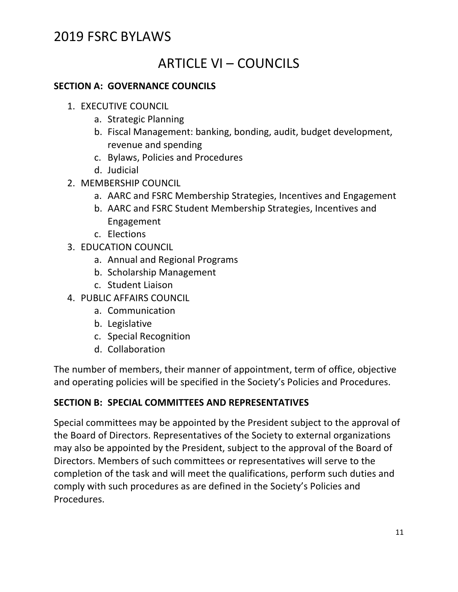### ARTICLE VI – COUNCILS

#### **SECTION A: GOVERNANCE COUNCILS**

- 1. EXECUTIVE COUNCIL
	- a. Strategic Planning
	- b. Fiscal Management: banking, bonding, audit, budget development, revenue and spending
	- c. Bylaws, Policies and Procedures
	- d. Judicial
- 2. MEMBERSHIP COUNCIL
	- a. AARC and FSRC Membership Strategies, Incentives and Engagement
	- b. AARC and FSRC Student Membership Strategies, Incentives and Engagement
	- c. Elections
- 3. EDUCATION COUNCIL
	- a. Annual and Regional Programs
	- b. Scholarship Management
	- c. Student Liaison
- 4. PUBLIC AFFAIRS COUNCIL
	- a. Communication
	- b. Legislative
	- c. Special Recognition
	- d. Collaboration

The number of members, their manner of appointment, term of office, objective and operating policies will be specified in the Society's Policies and Procedures.

#### **SECTION B: SPECIAL COMMITTEES AND REPRESENTATIVES**

Special committees may be appointed by the President subject to the approval of the Board of Directors. Representatives of the Society to external organizations may also be appointed by the President, subject to the approval of the Board of Directors. Members of such committees or representatives will serve to the completion of the task and will meet the qualifications, perform such duties and comply with such procedures as are defined in the Society's Policies and Procedures.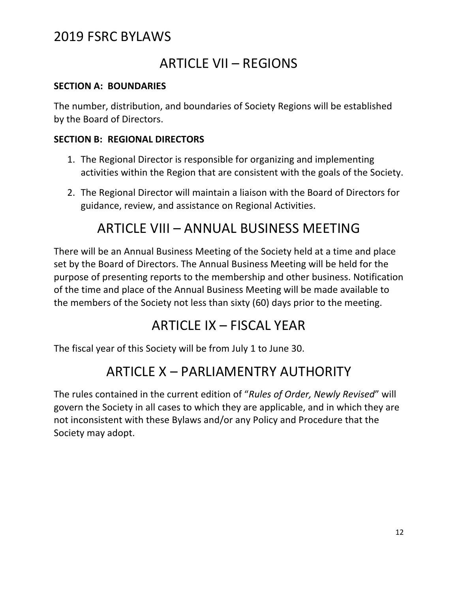### ARTICLE VII – REGIONS

#### **SECTION A: BOUNDARIES**

The number, distribution, and boundaries of Society Regions will be established by the Board of Directors.

#### **SECTION B: REGIONAL DIRECTORS**

- 1. The Regional Director is responsible for organizing and implementing activities within the Region that are consistent with the goals of the Society.
- 2. The Regional Director will maintain a liaison with the Board of Directors for guidance, review, and assistance on Regional Activities.

### ARTICLE VIII – ANNUAL BUSINESS MEETING

There will be an Annual Business Meeting of the Society held at a time and place set by the Board of Directors. The Annual Business Meeting will be held for the purpose of presenting reports to the membership and other business. Notification of the time and place of the Annual Business Meeting will be made available to the members of the Society not less than sixty (60) days prior to the meeting.

### ARTICLE IX – FISCAL YEAR

The fiscal year of this Society will be from July 1 to June 30.

### ARTICLE X – PARLIAMENTRY AUTHORITY

The rules contained in the current edition of "*Rules of Order, Newly Revised*" will govern the Society in all cases to which they are applicable, and in which they are not inconsistent with these Bylaws and/or any Policy and Procedure that the Society may adopt.